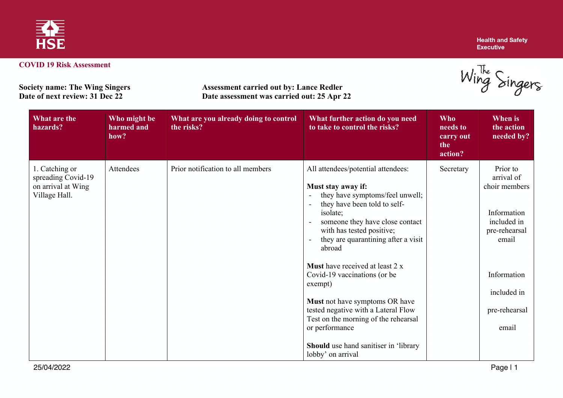

Wing Singers

| <b>Society name: The Wing Singers</b> |
|---------------------------------------|
| Date of next review: 31 Dec 22        |

**Society name: The Wing Singers Assessment carried out by: Lance Redler**<br> **Date of next review: 31 Dec 22 Date assessment was carried out: 25 Apr** 2 **Date assessment was carried out: 25 Apr 22** 

| What are the<br>hazards?                                                    | Who might be<br>harmed and<br>how? | What are you already doing to control<br>the risks? | What further action do you need<br>to take to control the risks?                                                                                                                                                                                                                                                                                                                                                                                                                                                                         | <b>Who</b><br>needs to<br>carry out<br>the<br>action? | <b>When is</b><br>the action<br>needed by?                                                                                                              |
|-----------------------------------------------------------------------------|------------------------------------|-----------------------------------------------------|------------------------------------------------------------------------------------------------------------------------------------------------------------------------------------------------------------------------------------------------------------------------------------------------------------------------------------------------------------------------------------------------------------------------------------------------------------------------------------------------------------------------------------------|-------------------------------------------------------|---------------------------------------------------------------------------------------------------------------------------------------------------------|
| 1. Catching or<br>spreading Covid-19<br>on arrival at Wing<br>Village Hall. | Attendees                          | Prior notification to all members                   | All attendees/potential attendees:<br>Must stay away if:<br>they have symptoms/feel unwell;<br>$\overline{\phantom{a}}$<br>they have been told to self-<br>isolate;<br>someone they have close contact<br>$\overline{\phantom{a}}$<br>with has tested positive;<br>they are quarantining after a visit<br>abroad<br><b>Must</b> have received at least 2 x<br>Covid-19 vaccinations (or be<br>exempt)<br>Must not have symptoms OR have<br>tested negative with a Lateral Flow<br>Test on the morning of the rehearsal<br>or performance | Secretary                                             | Prior to<br>arrival of<br>choir members<br>Information<br>included in<br>pre-rehearsal<br>email<br>Information<br>included in<br>pre-rehearsal<br>email |
|                                                                             |                                    |                                                     | Should use hand sanitiser in 'library<br>lobby' on arrival                                                                                                                                                                                                                                                                                                                                                                                                                                                                               |                                                       |                                                                                                                                                         |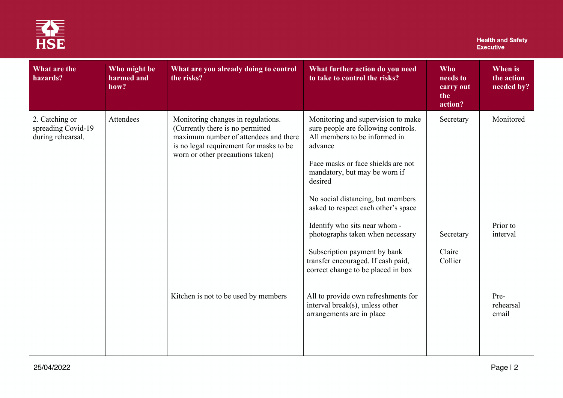

## **Health and Safety<br>Executive**

| What are the<br>hazards?                                  | Who might be<br>harmed and<br>how? | What are you already doing to control<br>the risks?                                                                                                                                            | What further action do you need<br>to take to control the risks?                                                      | <b>Who</b><br>needs to<br>carry out<br>the<br>action? | When is<br>the action<br>needed by? |
|-----------------------------------------------------------|------------------------------------|------------------------------------------------------------------------------------------------------------------------------------------------------------------------------------------------|-----------------------------------------------------------------------------------------------------------------------|-------------------------------------------------------|-------------------------------------|
| 2. Catching or<br>spreading Covid-19<br>during rehearsal. | Attendees                          | Monitoring changes in regulations.<br>(Currently there is no permitted<br>maximum number of attendees and there<br>is no legal requirement for masks to be<br>worn or other precautions taken) | Monitoring and supervision to make<br>sure people are following controls.<br>All members to be informed in<br>advance | Secretary                                             | Monitored                           |
|                                                           |                                    |                                                                                                                                                                                                | Face masks or face shields are not<br>mandatory, but may be worn if<br>desired                                        |                                                       |                                     |
|                                                           |                                    |                                                                                                                                                                                                | No social distancing, but members<br>asked to respect each other's space                                              |                                                       |                                     |
|                                                           |                                    |                                                                                                                                                                                                | Identify who sits near whom -<br>photographs taken when necessary                                                     | Secretary                                             | Prior to<br>interval                |
|                                                           |                                    |                                                                                                                                                                                                | Subscription payment by bank<br>transfer encouraged. If cash paid,<br>correct change to be placed in box              | Claire<br>Collier                                     |                                     |
|                                                           |                                    | Kitchen is not to be used by members                                                                                                                                                           | All to provide own refreshments for<br>interval break(s), unless other<br>arrangements are in place                   |                                                       | Pre-<br>rehearsal<br>email          |
|                                                           |                                    |                                                                                                                                                                                                |                                                                                                                       |                                                       |                                     |